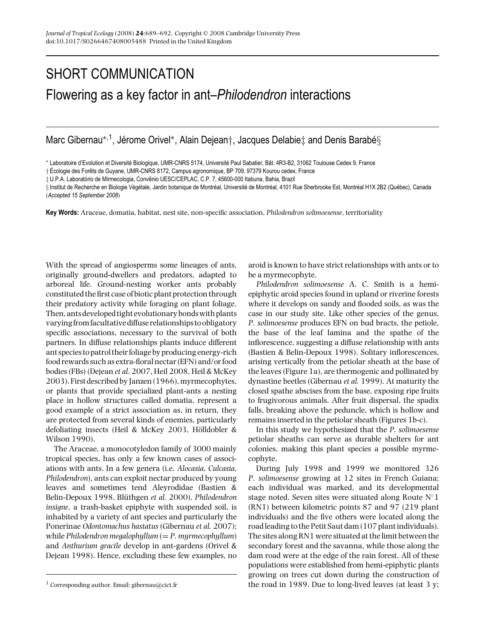## SHORT COMMUNICATION Flowering as a key factor in ant–*Philodendron* interactions

Marc Gibernau<sup>∗, 1</sup>, Jérome Orivel<sup>∗</sup>, Alain Dejean†, Jacques Delabie‡ and Denis Barabé§

\* Laboratoire d'Evolution et Diversité Biologique, UMR-CNRS 5174, Université Paul Sabatier, Bât. 4R3-B2, 31062 Toulouse Cedex 9, France

 $+$  Écologie des Forêts de Guyane, UMR-CNRS 8172, Campus agronomique, BP 709, 97379 Kourou cedex, France

 $\ddagger$  U.P.A. Laboratório de Mirmecologia, Convênio UESC/CEPLAC, C.P. 7, 45600-000 Itabuna, Bahia, Brazil

§ Institut de Recherche en Biologie Végétale, Jardin botanique de Montréal, Université de Montréal, 4101 Rue Sherbrooke Est, Montréal H1X 2B2 (Québec), Canada (*Accepted 15 September 2008*)

**Key Words:** Araceae, domatia, habitat, nest site, non-specific association, *Philodendron solimoesense*, territoriality

With the spread of angiosperms some lineages of ants, originally ground-dwellers and predators, adapted to arboreal life. Ground-nesting worker ants probably constituted the first case of biotic plant protection through their predatory activity while foraging on plant foliage. Then, ants developed tight evolutionary bondswith plants varyingfromfacultative diffuse relationships to obligatory specific associations, necessary to the survival of both partners. In diffuse relationships plants induce different ant species to patrol their foliage by producing energy-rich food rewards such as extra-floral nectar (EFN) and/or food bodies (FBs) (Dejean *et al*. 2007, Heil 2008, Heil & McKey 2003). First described by Janzen (1966), myrmecophytes, or plants that provide specialized plant-ants a nesting place in hollow structures called domatia, represent a good example of a strict association as, in return, they are protected from several kinds of enemies, particularly defoliating insects (Heil & McKey 2003, Hölldobler  $\&$ Wilson 1990).

The Araceae, a monocotyledon family of 3000 mainly tropical species, has only a few known cases of associations with ants. In a few genera (i.e. *Alocasia*, *Culcasia*, *Philodendron*), ants can exploit nectar produced by young leaves and sometimes tend Aleyrodidae (Bastien & Belin-Depoux 1998, Blüthgen et al. 2000). Philodendron *insigne*, a trash-basket epiphyte with suspended soil, is inhabited by a variety of ant species and particularly the Ponerinae *Odontomachus hastatus* (Gibernau *et al.* 2007); while *Philodendron megalophyllum* (= *P. myrmecophyllum*) and *Anthurium gracile* develop in ant-gardens (Orivel & Dejean 1998). Hence, excluding these few examples, no

aroid is known to have strict relationships with ants or to be a myrmecophyte.

*Philodendron solimoesense* A. C. Smith is a hemiepiphytic aroid species found in upland or riverine forests where it develops on sandy and flooded soils, as was the case in our study site. Like other species of the genus, *P. solimoesense* produces EFN on bud bracts, the petiole, the base of the leaf lamina and the spathe of the inflorescence, suggesting a diffuse relationship with ants (Bastien & Belin-Depoux 1998). Solitary inflorescences, arising vertically from the petiolar sheath at the base of the leaves (Figure 1a), are thermogenic and pollinated by dynastine beetles (Gibernau *et al.* 1999). At maturity the closed spathe abscises from the base, exposing ripe fruits to frugivorous animals. After fruit dispersal, the spadix falls, breaking above the peduncle, which is hollow and remains inserted in the petiolar sheath (Figures 1b-c).

In this study we hypothesized that the *P. solimoesense* petiolar sheaths can serve as durable shelters for ant colonies, making this plant species a possible myrmecophyte.

During July 1998 and 1999 we monitored 326 *P. solimoesense* growing at 12 sites in French Guiana; each individual was marked, and its developmental stage noted. Seven sites were situated along Route  $N°1$ (RN1) between kilometric points 87 and 97 (219 plant individuals) and the five others were located along the road leading to the Petit Saut dam (107 plant individuals). The sites along RN1 were situated at the limit between the secondary forest and the savanna, while those along the dam road were at the edge of the rain forest. All of these populations were established from hemi-epiphytic plants growing on trees cut down during the construction of the road in 1989. Due to long-lived leaves (at least 3 y;

<sup>&</sup>lt;sup>1</sup> Corresponding author. Email: gibernau@cict.fr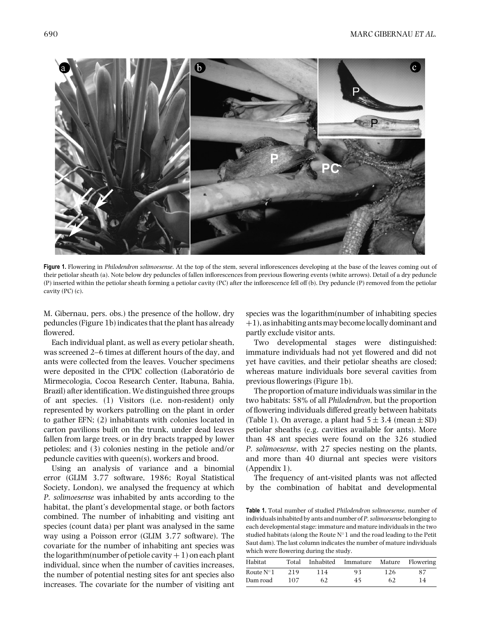

**Figure 1.** Flowering in *Philodendron solimoesense*. At the top of the stem, several inflorescences developing at the base of the leaves coming out of their petiolar sheath (a). Note below dry peduncles of fallen inflorescences from previous flowering events (white arrows). Detail of a dry peduncle (P) inserted within the petiolar sheath forming a petiolar cavity (PC) after the inflorescence fell off (b). Dry peduncle (P) removed from the petiolar cavity (PC) (c).

M. Gibernau, pers. obs.) the presence of the hollow, dry peduncles (Figure 1b) indicates that the plant has already flowered.

Each individual plant, as well as every petiolar sheath, was screened 2–6 times at different hours of the day, and ants were collected from the leaves. Voucher specimens were deposited in the CPDC collection (Laboratório de Mirmecologia*,* Cocoa Research Center, Itabuna, Bahia, Brazil) after identification. We distinguished three groups of ant species. (1) Visitors (i.e. non-resident) only represented by workers patrolling on the plant in order to gather EFN; (2) inhabitants with colonies located in carton pavilions built on the trunk, under dead leaves fallen from large trees, or in dry bracts trapped by lower petioles; and (3) colonies nesting in the petiole and/or peduncle cavities with queen(s), workers and brood.

Using an analysis of variance and a binomial error (GLIM 3.77 software, 1986; Royal Statistical Society, London), we analysed the frequency at which *P. solimoesense* was inhabited by ants according to the habitat, the plant's developmental stage, or both factors combined. The number of inhabiting and visiting ant species (count data) per plant was analysed in the same way using a Poisson error (GLIM 3.77 software). The covariate for the number of inhabiting ant species was the logarithm(number of petiole cavity  $+1$ ) on each plant individual, since when the number of cavities increases, the number of potential nesting sites for ant species also increases. The covariate for the number of visiting ant

species was the logarithm(number of inhabiting species +1), as inhabiting antsmay become locally dominant and partly exclude visitor ants.

Two developmental stages were distinguished: immature individuals had not yet flowered and did not yet have cavities, and their petiolar sheaths are closed; whereas mature individuals bore several cavities from previous flowerings (Figure 1b).

The proportion of mature individuals was similar in the two habitats: 58% of all *Philodendron*, but the proportion of flowering individuals differed greatly between habitats (Table 1). On average, a plant had  $5 \pm 3.4$  (mean  $\pm$  SD) petiolar sheaths (e.g. cavities available for ants). More than 48 ant species were found on the 326 studied *P. solimoesense*, with 27 species nesting on the plants, and more than 40 diurnal ant species were visitors (Appendix 1).

The frequency of ant-visited plants was not affected by the combination of habitat and developmental

**Table 1.** Total number of studied *Philodendron solimoesense*, number of individuals inhabited by ants and number of *P. solimoesense* belonging to each developmental stage: immature and mature individuals in the two studied habitats (along the Route  ${\bf N}^\circ{\bf 1}$  and the road leading to the Petit Saut dam). The last column indicates the number of mature individuals which were flowering during the study.

| Habitat            | Total | Inhabited | Immature | Mature | Flowering |
|--------------------|-------|-----------|----------|--------|-----------|
| Route $N^{\circ}1$ | 219   | 114       | 93       | 126    | 87        |
| Dam road           | 107   | 62        | 45       | 62     | 14        |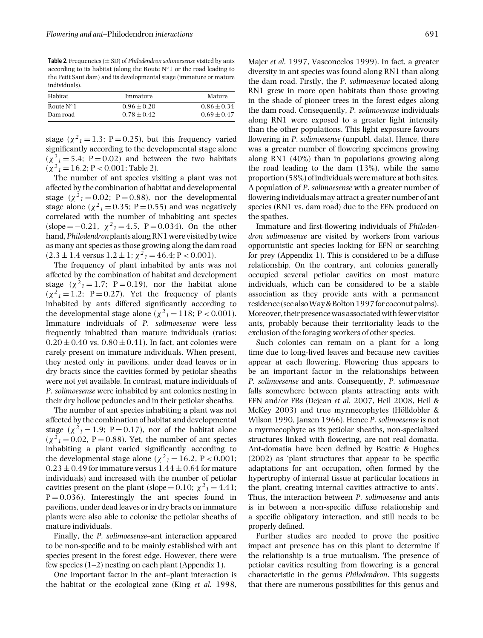**Table 2.** Frequencies  $(\pm SD)$  of *Philodendron solimoesense* visited by ants according to its habitat (along the Route  $N°1$  or the road leading to the Petit Saut dam) and its developmental stage (immature or mature individuals).

| Habitat            | Immature        | Mature          |  |
|--------------------|-----------------|-----------------|--|
| Route $N^{\circ}1$ | $0.96 \pm 0.20$ | $0.86 \pm 0.34$ |  |
| Dam road           | $0.78 \pm 0.42$ | $0.69 \pm 0.47$ |  |

stage ( $\chi^2$ <sub>1</sub> = 1.3; P = 0.25), but this frequency varied significantly according to the developmental stage alone  $(\chi^2_1 = 5.4; P = 0.02)$  and between the two habitats  $(\chi^2_1 = 16.2; P < 0.001;$  Table 2).

The number of ant species visiting a plant was not affected by the combination of habitat and developmental stage  $(\chi^2_1 = 0.02; \ \text{P} = 0.88)$ , nor the developmental stage alone ( $\chi^2$ <sub>1</sub> = 0.35; P = 0.55) and was negatively correlated with the number of inhabiting ant species  $(slope = -0.21, \chi^2_1 = 4.5, P = 0.034)$ . On the other hand,*Philodendron* plants along RN1 were visited by twice as many ant species as those growing along the dam road  $(2.3 \pm 1.4 \text{ versus } 1.2 \pm 1; \chi^2{}_1 = 46.4; P < 0.001).$ 

The frequency of plant inhabited by ants was not affected by the combination of habitat and development stage  $(\chi^2_1 = 1.7; P = 0.19)$ , nor the habitat alone  $(\chi^2_1 = 1.2; \ P = 0.27)$ . Yet the frequency of plants inhabited by ants differed significantly according to the developmental stage alone ( $\chi^2$ <sub>1</sub> = 118; P < 0.001). Immature individuals of *P. solimoesense* were less frequently inhabited than mature individuals (ratios:  $0.20 \pm 0.40$  vs.  $0.80 \pm 0.41$ ). In fact, ant colonies were rarely present on immature individuals. When present, they nested only in pavilions, under dead leaves or in dry bracts since the cavities formed by petiolar sheaths were not yet available. In contrast, mature individuals of *P. solimoesense* were inhabited by ant colonies nesting in their dry hollow peduncles and in their petiolar sheaths.

The number of ant species inhabiting a plant was not affected by the combination of habitat and developmental stage  $(\chi^2_1 = 1.9; P = 0.17)$ , nor of the habitat alone  $(\chi^2_1 = 0.02, P = 0.88)$ . Yet, the number of ant species inhabiting a plant varied significantly according to the developmental stage alone ( $\chi^2$ <sub>1</sub> = 16.2, P < 0.001;  $0.23 \pm 0.49$  for immature versus  $1.44 \pm 0.64$  for mature individuals) and increased with the number of petiolar cavities present on the plant (slope = 0.10;  $\chi^2$ <sub>1</sub> = 4.41;  $P = 0.036$ ). Interestingly the ant species found in pavilions, under dead leaves or in dry bracts on immature plants were also able to colonize the petiolar sheaths of mature individuals.

Finally, the *P. solimoesense*–ant interaction appeared to be non-specific and to be mainly established with ant species present in the forest edge. However, there were few species  $(1-2)$  nesting on each plant (Appendix 1).

One important factor in the ant–plant interaction is the habitat or the ecological zone (King *et al.* 1998,

Majer *et al.* 1997, Vasconcelos 1999). In fact, a greater diversity in ant species was found along RN1 than along the dam road. Firstly, the *P. solimoesense* located along RN1 grew in more open habitats than those growing in the shade of pioneer trees in the forest edges along the dam road. Consequently, *P. solimoesense* individuals along RN1 were exposed to a greater light intensity than the other populations. This light exposure favours flowering in *P*. *solimoesense* (unpubl. data). Hence, there was a greater number of flowering specimens growing along RN1 (40%) than in populations growing along the road leading to the dam (13%), while the same proportion (58%) of individuals were mature at both sites. A population of *P. solimoesense* with a greater number of flowering individuals may attract a greater number of ant species (RN1 vs. dam road) due to the EFN produced on the spathes.

Immature and first-flowering individuals of *Philodendron solimoesense* are visited by workers from various opportunistic ant species looking for EFN or searching for prey (Appendix 1). This is considered to be a diffuse relationship. On the contrary, ant colonies generally occupied several petiolar cavities on most mature individuals, which can be considered to be a stable association as they provide ants with a permanent residence (see also Way & Bolton 1997 for coconut palms). Moreover, their presence was associated with fewer visitor ants, probably because their territoriality leads to the exclusion of the foraging workers of other species.

Such colonies can remain on a plant for a long time due to long-lived leaves and because new cavities appear at each flowering. Flowering thus appears to be an important factor in the relationships between *P. solimoesense* and ants. Consequently, *P. solimoesense* falls somewhere between plants attracting ants with EFN and/or FBs (Dejean *et al.* 2007, Heil 2008, Heil & McKey 2003) and true myrmecophytes (Hölldobler  $&$ Wilson 1990, Janzen 1966). Hence *P. solimoesense* is not a myrmecophyte as its petiolar sheaths, non-specialized structures linked with flowering, are not real domatia. Ant-domatia have been defined by Beattie & Hughes (2002) as 'plant structures that appear to be specific adaptations for ant occupation, often formed by the hypertrophy of internal tissue at particular locations in the plant, creating internal cavities attractive to ants'. Thus, the interaction between *P. solimoesense* and ants is in between a non-specific diffuse relationship and a specific obligatory interaction, and still needs to be properly defined.

Further studies are needed to prove the positive impact ant presence has on this plant to determine if the relationship is a true mutualism. The presence of petiolar cavities resulting from flowering is a general characteristic in the genus *Philodendron*. This suggests that there are numerous possibilities for this genus and